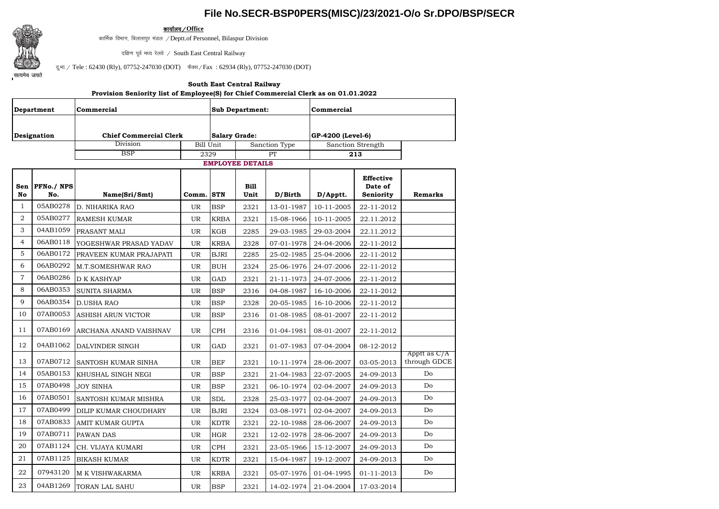## **File No.SECR-BSP0PERS(MISC)/23/2021-O/o Sr.DPO/BSP/SECR**



कार्यालय */* Office

कार्मिक विभाग, बिलासपुर मंडल / Deptt.of Personnel, Bilaspur Division

दक्षिण पूर्व मध्य रेलवे / South East Central Railway

दू.भा. / Tele : 62430 (Rly), 07752-247030 (DOT) फैक्स / Fax : 62934 (Rly), 07752-247030 (DOT)

## **South East Central Railway**

## **Provision Seniority list of Employee(S) for Chief Commercial Clerk as on 01.01.2022**

| Department     |                   | Commercial                    |                  |                         | <b>Sub Department:</b> |                   | Commercial        |                                          |                              |  |  |
|----------------|-------------------|-------------------------------|------------------|-------------------------|------------------------|-------------------|-------------------|------------------------------------------|------------------------------|--|--|
|                |                   |                               |                  |                         |                        |                   |                   |                                          |                              |  |  |
|                | Designation       | <b>Chief Commercial Clerk</b> |                  |                         | <b>Salary Grade:</b>   |                   | GP-4200 (Level-6) |                                          |                              |  |  |
|                |                   | <b>Division</b>               | <b>Bill Unit</b> | Sanction Type           |                        | Sanction Strength |                   |                                          |                              |  |  |
|                |                   | <b>BSP</b><br>2329            |                  |                         |                        | PT                | 213               |                                          |                              |  |  |
|                |                   |                               |                  | <b>EMPLOYEE DETAILS</b> |                        |                   |                   |                                          |                              |  |  |
| Sen<br>No      | PFNo./ NPS<br>No. | Name(Sri/Smt)                 | Comm. STN        |                         | <b>Bill</b><br>Unit    | D/Birth           | D/Apptt.          | <b>Effective</b><br>Date of<br>Seniority | <b>Remarks</b>               |  |  |
| $\mathbf{1}$   | 05AB0278          | D. NIHARIKA RAO               | <b>UR</b>        | <b>BSP</b>              | 2321                   | 13-01-1987        | 10-11-2005        | 22-11-2012                               |                              |  |  |
| $\overline{2}$ | 05AB0277          | <b>RAMESH KUMAR</b>           | <b>UR</b>        | <b>KRBA</b>             | 2321                   | 15-08-1966        | 10-11-2005        | 22.11.2012                               |                              |  |  |
| 3              | 04AB1059          | PRASANT MALI                  | <b>UR</b>        | KGB                     | 2285                   | 29-03-1985        | 29-03-2004        | 22.11.2012                               |                              |  |  |
| $\overline{4}$ | 06AB0118          | YOGESHWAR PRASAD YADAV        | UR               | <b>KRBA</b>             | 2328                   | 07-01-1978        | 24-04-2006        | 22-11-2012                               |                              |  |  |
| 5              | 06AB0172          | PRAVEEN KUMAR PRAJAPATI       | UR               | <b>BJRI</b>             | 2285                   | 25-02-1985        | 25-04-2006        | 22-11-2012                               |                              |  |  |
| 6              | 06AB0292          | M.T.SOMESHWAR RAO             | UR               | <b>BUH</b>              | 2324                   | 25-06-1976        | 24-07-2006        | 22-11-2012                               |                              |  |  |
| $\overline{7}$ | 06AB0286          | <b>D K KASHYAP</b>            | <b>UR</b>        | GAD                     | 2321                   | 21-11-1973        | 24-07-2006        | 22-11-2012                               |                              |  |  |
| 8              | 06AB0353          | <b>SUNITA SHARMA</b>          | <b>UR</b>        | <b>BSP</b>              | 2316                   | 04-08-1987        | 16-10-2006        | 22-11-2012                               |                              |  |  |
| 9              | 06AB0354          | <b>D.USHA RAO</b>             | <b>UR</b>        | <b>BSP</b>              | 2328                   | 20-05-1985        | 16-10-2006        | 22-11-2012                               |                              |  |  |
| 10             | 07AB0053          | ASHISH ARUN VICTOR            | <b>UR</b>        | <b>BSP</b>              | 2316                   | 01-08-1985        | 08-01-2007        | 22-11-2012                               |                              |  |  |
| 11             | 07AB0169          | ARCHANA ANAND VAISHNAV        | <b>UR</b>        | <b>CPH</b>              | 2316                   | 01-04-1981        | 08-01-2007        | 22-11-2012                               |                              |  |  |
| 12             | 04AB1062          | DALVINDER SINGH               | <b>UR</b>        | GAD                     | 2321                   | 01-07-1983        | 07-04-2004        | 08-12-2012                               |                              |  |  |
| 13             | 07AB0712          | SANTOSH KUMAR SINHA           | <b>UR</b>        | <b>BEF</b>              | 2321                   | 10-11-1974        | 28-06-2007        | 03-05-2013                               | Apptt as C/A<br>through GDCE |  |  |
| 14             | 05AB0153          | KHUSHAL SINGH NEGI            | UR               | <b>BSP</b>              | 2321                   | 21-04-1983        | 22-07-2005        | 24-09-2013                               | D <sub>o</sub>               |  |  |
| 15             | 07AB0498          | <b>JOY SINHA</b>              | <b>UR</b>        | <b>BSP</b>              | 2321                   | 06-10-1974        | 02-04-2007        | 24-09-2013                               | Do                           |  |  |
| 16             | 07AB0501          | SANTOSH KUMAR MISHRA          | <b>UR</b>        | <b>SDL</b>              | 2328                   | 25-03-1977        | 02-04-2007        | 24-09-2013                               | Do                           |  |  |
| 17             | 07AB0499          | DILIP KUMAR CHOUDHARY         | UR               | <b>BJRI</b>             | 2324                   | 03-08-1971        | 02-04-2007        | 24-09-2013                               | Do                           |  |  |
| 18             | 07AB0833          | AMIT KUMAR GUPTA              | UR               | <b>KDTR</b>             | 2321                   | 22-10-1988        | 28-06-2007        | 24-09-2013                               | Do                           |  |  |
| 19             | 07AB0711          | <b>PAWAN DAS</b>              | <b>UR</b>        | <b>HGR</b>              | 2321                   | 12-02-1978        | 28-06-2007        | 24-09-2013                               | D <sub>0</sub>               |  |  |
| 20             | 07AB1124          | CH. VIJAYA KUMARI             | UR               | <b>CPH</b>              | 2321                   | 23-05-1966        | 15-12-2007        | 24-09-2013                               | D <sub>o</sub>               |  |  |
| 21             | 07AB1125          | <b>BIKASH KUMAR</b>           | UR               | <b>KDTR</b>             | 2321                   | 15-04-1987        | 19-12-2007        | 24-09-2013                               | Do                           |  |  |
| 22             | 07943120          | M K VISHWAKARMA               | UR               | <b>KRBA</b>             | 2321                   | 05-07-1976        | 01-04-1995        | 01-11-2013                               | Do.                          |  |  |
| 23             | 04AB1269          | TORAN LAL SAHU                | <b>UR</b>        | <b>BSP</b>              | 2321                   | 14-02-1974        | 21-04-2004        | 17-03-2014                               |                              |  |  |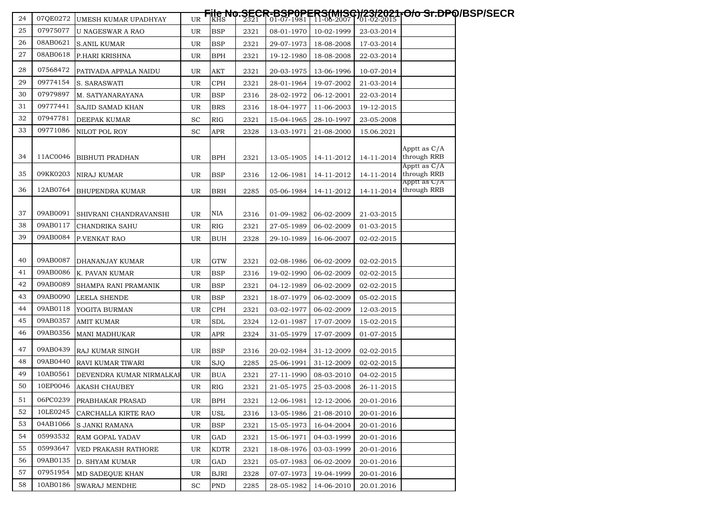| 24 | 07QE0272 | UMESH KUMAR UPADHYAY     | UR. |             |      |            |            |            | <del>File No.SECR-BSP0PERS(MISC)/23/2021-O/o Sr.DP</del> Q/BSP/SECR<br>│ <sup>KHS │</sup> 2321 │ 01-07-1981 │ 11-06-2007 │ 01-02-2015 │ |
|----|----------|--------------------------|-----|-------------|------|------------|------------|------------|-----------------------------------------------------------------------------------------------------------------------------------------|
| 25 | 07975077 | U NAGESWAR A RAO         | UR  | <b>BSP</b>  | 2321 | 08-01-1970 | 10-02-1999 | 23-03-2014 |                                                                                                                                         |
| 26 | 08AB0621 | <b>S.ANIL KUMAR</b>      | UR  | <b>BSP</b>  | 2321 | 29-07-1973 | 18-08-2008 | 17-03-2014 |                                                                                                                                         |
| 27 | 08AB0618 | P.HARI KRISHNA           | UR  | <b>BPH</b>  | 2321 | 19-12-1980 | 18-08-2008 | 22-03-2014 |                                                                                                                                         |
| 28 | 07568472 | PATIVADA APPALA NAIDU    | UR  | AKT         | 2321 | 20-03-1975 | 13-06-1996 | 10-07-2014 |                                                                                                                                         |
| 29 | 09774154 | S. SARASWATI             | UR  | <b>CPH</b>  | 2321 | 28-01-1964 | 19-07-2002 | 21-03-2014 |                                                                                                                                         |
| 30 | 07979897 | M. SATYANARAYANA         | UR. | <b>BSP</b>  | 2316 | 28-02-1972 | 06-12-2001 | 22-03-2014 |                                                                                                                                         |
| 31 | 09777441 | SAJID SAMAD KHAN         | UR. | <b>BRS</b>  | 2316 | 18-04-1977 | 11-06-2003 | 19-12-2015 |                                                                                                                                         |
| 32 | 07947781 | DEEPAK KUMAR             | SC  | <b>RIG</b>  | 2321 | 15-04-1965 | 28-10-1997 | 23-05-2008 |                                                                                                                                         |
| 33 | 09771086 | NILOT POL ROY            | SC  | <b>APR</b>  | 2328 | 13-03-1971 | 21-08-2000 | 15.06.2021 |                                                                                                                                         |
| 34 | 11AC0046 | <b>BIBHUTI PRADHAN</b>   | UR  | <b>BPH</b>  | 2321 | 13-05-1905 | 14-11-2012 |            | Apptt as C/A<br>14-11-2014 through RRB                                                                                                  |
| 35 | 09KK0203 | NIRAJ KUMAR              | UR  | <b>BSP</b>  | 2316 | 12-06-1981 | 14-11-2012 | 14-11-2014 | Apptt as C/A<br>through RRB                                                                                                             |
|    |          |                          |     |             |      |            |            |            | Apptt as C/A                                                                                                                            |
| 36 | 12AB0764 | <b>BHUPENDRA KUMAR</b>   | UR  | <b>BRH</b>  | 2285 | 05-06-1984 | 14-11-2012 | 14-11-2014 | through RRB                                                                                                                             |
|    |          |                          |     |             |      |            |            |            |                                                                                                                                         |
| 37 | 09AB0091 | SHIVRANI CHANDRAVANSHI   | UR  | NIA         | 2316 | 01-09-1982 | 06-02-2009 | 21-03-2015 |                                                                                                                                         |
| 38 | 09AB0117 | <b>CHANDRIKA SAHU</b>    | UR. | <b>RIG</b>  | 2321 | 27-05-1989 | 06-02-2009 | 01-03-2015 |                                                                                                                                         |
| 39 | 09AB0084 | P.VENKAT RAO             | UR  | <b>BUH</b>  | 2328 | 29-10-1989 | 16-06-2007 | 02-02-2015 |                                                                                                                                         |
| 40 | 09AB0087 | DHANANJAY KUMAR          | UR  | <b>GTW</b>  | 2321 | 02-08-1986 | 06-02-2009 | 02-02-2015 |                                                                                                                                         |
| 41 | 09AB0086 | K. PAVAN KUMAR           | UR  | <b>BSP</b>  | 2316 | 19-02-1990 | 06-02-2009 | 02-02-2015 |                                                                                                                                         |
| 42 | 09AB0089 | SHAMPA RANI PRAMANIK     | UR  | <b>BSP</b>  | 2321 | 04-12-1989 | 06-02-2009 | 02-02-2015 |                                                                                                                                         |
| 43 | 09AB0090 | <b>LEELA SHENDE</b>      | UR. | <b>BSP</b>  | 2321 | 18-07-1979 | 06-02-2009 | 05-02-2015 |                                                                                                                                         |
| 44 | 09AB0118 | YOGITA BURMAN            | UR  | <b>CPH</b>  | 2321 | 03-02-1977 | 06-02-2009 | 12-03-2015 |                                                                                                                                         |
| 45 | 09AB0357 | <b>AMIT KUMAR</b>        | UR  | <b>SDL</b>  | 2324 | 12-01-1987 | 17-07-2009 | 15-02-2015 |                                                                                                                                         |
| 46 | 09AB0356 | <b>MANI MADHUKAR</b>     | UR  | APR         | 2324 | 31-05-1979 | 17-07-2009 | 01-07-2015 |                                                                                                                                         |
| 47 | 09AB0439 | RAJ KUMAR SINGH          | UR. | <b>BSP</b>  | 2316 | 20-02-1984 | 31-12-2009 | 02-02-2015 |                                                                                                                                         |
| 48 | 09AB0440 | RAVI KUMAR TIWARI        | UR  | <b>SJQ</b>  | 2285 | 25-06-1991 | 31-12-2009 | 02-02-2015 |                                                                                                                                         |
| 49 | 10AB0561 | DEVENDRA KUMAR NIRMALKAF | UR. | <b>BUA</b>  | 2321 | 27-11-1990 | 08-03-2010 | 04-02-2015 |                                                                                                                                         |
| 50 | 10EP0046 | <b>AKASH CHAUBEY</b>     | UR  | <b>RIG</b>  | 2321 | 21-05-1975 | 25-03-2008 | 26-11-2015 |                                                                                                                                         |
| 51 | 06PC0239 | PRABHAKAR PRASAD         | UR  | <b>BPH</b>  | 2321 | 12-06-1981 | 12-12-2006 | 20-01-2016 |                                                                                                                                         |
| 52 | 10LE0245 | CARCHALLA KIRTE RAO      | UR  | USL         | 2316 | 13-05-1986 | 21-08-2010 | 20-01-2016 |                                                                                                                                         |
| 53 | 04AB1066 | S JANKI RAMANA           | UR  | <b>BSP</b>  | 2321 | 15-05-1973 | 16-04-2004 | 20-01-2016 |                                                                                                                                         |
| 54 | 05993532 | RAM GOPAL YADAV          | UR  | GAD         | 2321 | 15-06-1971 | 04-03-1999 | 20-01-2016 |                                                                                                                                         |
| 55 | 05993647 | VED PRAKASH RATHORE      | UR  | <b>KDTR</b> | 2321 | 18-08-1976 | 03-03-1999 | 20-01-2016 |                                                                                                                                         |
| 56 | 09AB0135 | D. SHYAM KUMAR           | UR  | GAD         | 2321 | 05-07-1983 | 06-02-2009 | 20-01-2016 |                                                                                                                                         |
| 57 | 07951954 | MD SADEQUE KHAN          | UR  | <b>BJRI</b> | 2328 | 07-07-1973 | 19-04-1999 | 20-01-2016 |                                                                                                                                         |
| 58 | 10AB0186 | <b>SWARAJ MENDHE</b>     | SC  | <b>PND</b>  | 2285 | 28-05-1982 | 14-06-2010 | 20.01.2016 |                                                                                                                                         |
|    |          |                          |     |             |      |            |            |            |                                                                                                                                         |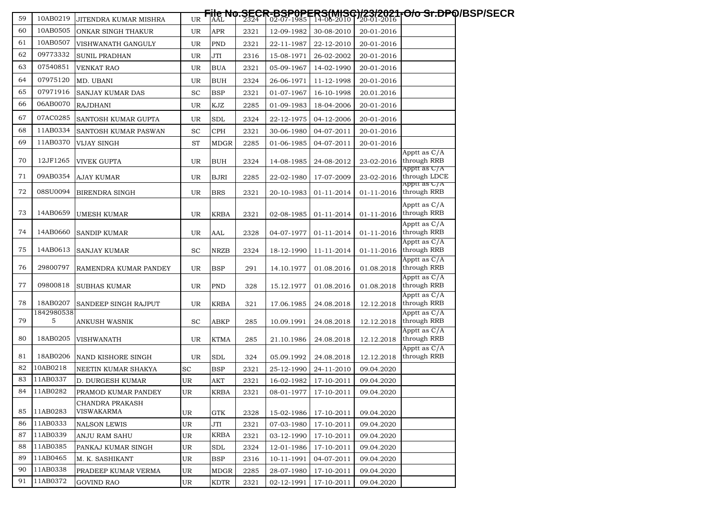| 59 | 10AB0219        | JITENDRA KUMAR MISHRA         | UR        |             |      |            |                       |            | File No.SECR-BSP0PERS(MISG)/23/2021-O/o Sr.DPQ/BSP/SECR<br> AALN0.2324   02-07-1985   14-08-2010   20-01-2016 |
|----|-----------------|-------------------------------|-----------|-------------|------|------------|-----------------------|------------|---------------------------------------------------------------------------------------------------------------|
| 60 | 10AB0505        | ONKAR SINGH THAKUR            | UR        | <b>APR</b>  | 2321 | 12-09-1982 | 30-08-2010            | 20-01-2016 |                                                                                                               |
| 61 | 10AB0507        | VISHWANATH GANGULY            | UR        | <b>PND</b>  | 2321 | 22-11-1987 | 22-12-2010            | 20-01-2016 |                                                                                                               |
| 62 | 09773332        | SUNIL PRADHAN                 | UR        | JTI         | 2316 | 15-08-1971 | 26-02-2002            | 20-01-2016 |                                                                                                               |
| 63 | 07540851        | VENKAT RAO                    | UR        | <b>BUA</b>  | 2321 | 05-09-1967 | 14-02-1990            | 20-01-2016 |                                                                                                               |
| 64 | 07975120        | MD. UBANI                     | UR        | <b>BUH</b>  | 2324 | 26-06-1971 | 11-12-1998            | 20-01-2016 |                                                                                                               |
| 65 | 07971916        | SANJAY KUMAR DAS              | <b>SC</b> | <b>BSP</b>  | 2321 | 01-07-1967 | 16-10-1998            | 20.01.2016 |                                                                                                               |
| 66 | 06AB0070        | <b>RAJDHANI</b>               | UR        | KJZ         | 2285 | 01-09-1983 | 18-04-2006            | 20-01-2016 |                                                                                                               |
| 67 | 07AC0285        | SANTOSH KUMAR GUPTA           | UR        | SDL         | 2324 | 22-12-1975 | 04-12-2006            | 20-01-2016 |                                                                                                               |
| 68 | 11AB0334        | SANTOSH KUMAR PASWAN          | <b>SC</b> | <b>CPH</b>  | 2321 | 30-06-1980 | 04-07-2011            | 20-01-2016 |                                                                                                               |
| 69 | 11AB0370        | VIJAY SINGH                   | <b>ST</b> | MDGR        | 2285 | 01-06-1985 | 04-07-2011            | 20-01-2016 |                                                                                                               |
| 70 | 12JF1265        | VIVEK GUPTA                   | UR        | <b>BUH</b>  | 2324 | 14-08-1985 | 24-08-2012            | 23-02-2016 | Apptt as C/A<br>through RRB                                                                                   |
| 71 | 09AB0354        | AJAY KUMAR                    | UR        | <b>BJRI</b> | 2285 | 22-02-1980 | 17-07-2009            | 23-02-2016 | Apptt as C/A<br>through LDCE<br>Apptt as C/A                                                                  |
| 72 | 08SU0094        | <b>BIRENDRA SINGH</b>         | UR        | <b>BRS</b>  | 2321 | 20-10-1983 | 01-11-2014            | 01-11-2016 | through RRB                                                                                                   |
| 73 | 14AB0659        | UMESH KUMAR                   | UR        | <b>KRBA</b> | 2321 | 02-08-1985 | 01-11-2014            | 01-11-2016 | Apptt as C/A<br>through RRB                                                                                   |
| 74 | 14AB0660        | <b>SANDIP KUMAR</b>           | UR        | AAL         | 2328 | 04-07-1977 | 01-11-2014            | 01-11-2016 | Apptt as C/A<br>through RRB                                                                                   |
| 75 | 14AB0613        | SANJAY KUMAR                  | <b>SC</b> | <b>NRZB</b> | 2324 | 18-12-1990 | 11-11-2014            | 01-11-2016 | Apptt as C/A<br>through RRB                                                                                   |
| 76 | 29800797        | RAMENDRA KUMAR PANDEY         | UR        | <b>BSP</b>  | 291  | 14.10.1977 | 01.08.2016            | 01.08.2018 | Apptt as C/A<br>through RRB                                                                                   |
| 77 | 09800818        | SUBHAS KUMAR                  | UR        | <b>PND</b>  | 328  | 15.12.1977 | 01.08.2016            | 01.08.2018 | Apptt as C/A<br>through RRB                                                                                   |
| 78 | 18AB0207        | SANDEEP SINGH RAJPUT          | UR        | <b>KRBA</b> | 321  | 17.06.1985 | 24.08.2018            | 12.12.2018 | Apptt as C/A<br>through RRB                                                                                   |
| 79 | 1842980538<br>5 | ANKUSH WASNIK                 | <b>SC</b> | ABKP        | 285  | 10.09.1991 | 24.08.2018            | 12.12.2018 | Apptt as C/A<br>through RRB                                                                                   |
| 80 | 18AB0205        | <b>VISHWANATH</b>             | UR        | KTMA        | 285  | 21.10.1986 | 24.08.2018            | 12.12.2018 | Apptt as C/A<br>through RRB                                                                                   |
| 81 | 18AB0206        | NAND KISHORE SINGH            | UR        | SDL         | 324  | 05.09.1992 | 24.08.2018            | 12.12.2018 | Apptt as C/A<br>through RRB                                                                                   |
| 82 | 10AB0218        | NEETIN KUMAR SHAKYA           | SC        | <b>BSP</b>  | 2321 | 25-12-1990 | 24-11-2010            | 09.04.2020 |                                                                                                               |
| 83 | 11AB0337        | D. DURGESH KUMAR              | UR        | AKT         | 2321 | 16-02-1982 | 17-10-2011            | 09.04.2020 |                                                                                                               |
| 84 | 11AB0282        | PRAMOD KUMAR PANDEY           | UR        | <b>KRBA</b> | 2321 |            | 08-01-1977 17-10-2011 | 09.04.2020 |                                                                                                               |
| 85 | 11AB0283        | CHANDRA PRAKASH<br>VISWAKARMA | UR        | <b>GTK</b>  | 2328 | 15-02-1986 | 17-10-2011            | 09.04.2020 |                                                                                                               |
| 86 | 11AB0333        | <b>NALSON LEWIS</b>           | UR        | <b>JTI</b>  | 2321 | 07-03-1980 | 17-10-2011            | 09.04.2020 |                                                                                                               |
| 87 | 11AB0339        | ANJU RAM SAHU                 | UR        | <b>KRBA</b> | 2321 | 03-12-1990 | 17-10-2011            | 09.04.2020 |                                                                                                               |
| 88 | 11AB0385        | PANKAJ KUMAR SINGH            | UR        | SDL         | 2324 | 12-01-1986 | 17-10-2011            | 09.04.2020 |                                                                                                               |
| 89 | 11AB0465        | M. K. SASHIKANT               | UR        | <b>BSP</b>  | 2316 | 10-11-1991 | 04-07-2011            | 09.04.2020 |                                                                                                               |
| 90 | 11AB0338        | PRADEEP KUMAR VERMA           | UR        | <b>MDGR</b> | 2285 | 28-07-1980 | 17-10-2011            | 09.04.2020 |                                                                                                               |
| 91 | 11AB0372        | <b>GOVIND RAO</b>             | UR        | <b>KDTR</b> | 2321 | 02-12-1991 | 17-10-2011            | 09.04.2020 |                                                                                                               |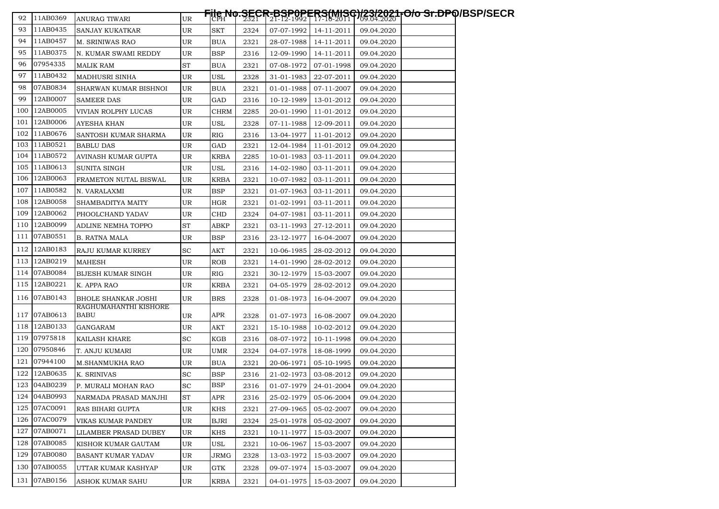| 92    | 11AB0369     | ANURAG TIWARI              | UR |             |      |            |            |            | <del>File No.SECR-BSP0PERS(MISG)/23/2021-O/o Sr.DP</del> Q/BSP/SECR<br>│CPH │ 2321 │21-12-1992 │ 17-10-2011  1/3,84.2020 │ |  |
|-------|--------------|----------------------------|----|-------------|------|------------|------------|------------|----------------------------------------------------------------------------------------------------------------------------|--|
| 93    | 11AB0435     | SANJAY KUKATKAR            | UR | SKT         | 2324 | 07-07-1992 | 14-11-2011 | 09.04.2020 |                                                                                                                            |  |
| 94    | 11AB0457     | M. SRINIWAS RAO            | UR | BUA         | 2321 | 28-07-1988 | 14-11-2011 | 09.04.2020 |                                                                                                                            |  |
| 95    | 11AB0375     | N. KUMAR SWAMI REDDY       | UR | <b>BSP</b>  | 2316 | 12-09-1990 | 14-11-2011 | 09.04.2020 |                                                                                                                            |  |
| 96    | 07954335     | <b>MALIK RAM</b>           | ST | <b>BUA</b>  | 2321 | 07-08-1972 | 07-01-1998 | 09.04.2020 |                                                                                                                            |  |
| 97    | 11AB0432     | MADHUSRI SINHA             | UR | USL         | 2328 | 31-01-1983 | 22-07-2011 | 09.04.2020 |                                                                                                                            |  |
| 98    | 07AB0834     | SHARWAN KUMAR BISHNOI      | UR | BUA         | 2321 | 01-01-1988 | 07-11-2007 | 09.04.2020 |                                                                                                                            |  |
| 99    | 12AB0007     | <b>SAMEER DAS</b>          | UR | GAD         | 2316 | 10-12-1989 | 13-01-2012 | 09.04.2020 |                                                                                                                            |  |
| 100   | 12AB0005     | VIVIAN ROLPHY LUCAS        | UR | <b>CHRM</b> | 2285 | 20-01-1990 | 11-01-2012 | 09.04.2020 |                                                                                                                            |  |
| 101   | 12AB0006     | AYESHA KHAN                | UR | USL         | 2328 | 07-11-1988 | 12-09-2011 | 09.04.2020 |                                                                                                                            |  |
| 102   | 11AB0676     | SANTOSH KUMAR SHARMA       | UR | RIG         | 2316 | 13-04-1977 | 11-01-2012 | 09.04.2020 |                                                                                                                            |  |
| 103   | 11AB0521     | <b>BABLU DAS</b>           | UR | GAD         | 2321 | 12-04-1984 | 11-01-2012 | 09.04.2020 |                                                                                                                            |  |
| 104   | 11AB0572     | AVINASH KUMAR GUPTA        | UR | <b>KRBA</b> | 2285 | 10-01-1983 | 03-11-2011 | 09.04.2020 |                                                                                                                            |  |
| 105   | 11AB0613     | SUNITA SINGH               | UR | USL         | 2316 | 14-02-1980 | 03-11-2011 | 09.04.2020 |                                                                                                                            |  |
| 106   | 12AB0063     | FRAMETON NUTAL BISWAL      | UR | KRBA        | 2321 | 10-07-1982 | 03-11-2011 | 09.04.2020 |                                                                                                                            |  |
| 107   | 11AB0582     | N. VARALAXMI               | UR | BSP         | 2321 | 01-07-1963 | 03-11-2011 | 09.04.2020 |                                                                                                                            |  |
| 108   | 12AB0058     | SHAMBADITYA MAITY          | UR | HGR         | 2321 | 01-02-1991 | 03-11-2011 | 09.04.2020 |                                                                                                                            |  |
| 109   | 12AB0062     | PHOOLCHAND YADAV           | UR | <b>CHD</b>  | 2324 | 04-07-1981 | 03-11-2011 | 09.04.2020 |                                                                                                                            |  |
| 110 l | 12AB0099     | ADLINE NEMHA TOPPO         | ST | ABKP        | 2321 | 03-11-1993 | 27-12-2011 | 09.04.2020 |                                                                                                                            |  |
| 111   | 07AB0551     | <b>B. RATNA MALA</b>       | UR | <b>BSP</b>  | 2316 | 23-12-1977 | 16-04-2007 | 09.04.2020 |                                                                                                                            |  |
| 112   | 12AB0183     | RAJU KUMAR KURREY          | SC | AKT         | 2321 | 10-06-1985 | 28-02-2012 | 09.04.2020 |                                                                                                                            |  |
| 113   | 12AB0219     | <b>MAHESH</b>              | UR | ROB         | 2321 | 14-01-1990 | 28-02-2012 | 09.04.2020 |                                                                                                                            |  |
| 114   | 07AB0084     | BIJESH KUMAR SINGH         | UR | RIG         | 2321 | 30-12-1979 | 15-03-2007 | 09.04.2020 |                                                                                                                            |  |
| 115   | 12AB0221     | K. APPA RAO                | UR | <b>KRBA</b> | 2321 | 04-05-1979 | 28-02-2012 | 09.04.2020 |                                                                                                                            |  |
| 116   | 07AB0143     | <b>BHOLE SHANKAR JOSHI</b> | UR | <b>BRS</b>  | 2328 | 01-08-1973 | 16-04-2007 | 09.04.2020 |                                                                                                                            |  |
|       |              | RAGHUMAHANTHI KISHORE      |    |             |      |            |            |            |                                                                                                                            |  |
| 117   | 07AB0613     | <b>BABU</b>                | UR | <b>APR</b>  | 2328 | 01-07-1973 | 16-08-2007 | 09.04.2020 |                                                                                                                            |  |
| 118   | 12AB0133     | GANGARAM                   | UR | AKT         | 2321 | 15-10-1988 | 10-02-2012 | 09.04.2020 |                                                                                                                            |  |
| 119   | 07975818     | KAILASH KHARE              | SС | KGB         | 2316 | 08-07-1972 | 10-11-1998 | 09.04.2020 |                                                                                                                            |  |
| 120   | 07950846     | T. ANJU KUMARI             | UR | UMR         | 2324 | 04-07-1978 | 18-08-1999 | 09.04.2020 |                                                                                                                            |  |
| 121   | 07944100     | M.SHANMUKHA RAO            | UR | <b>BUA</b>  | 2321 | 20-06-1971 | 05-10-1995 | 09.04.2020 |                                                                                                                            |  |
| 122   | 12AB0635     | K. SRINIVAS                | SC | <b>BSP</b>  | 2316 | 21-02-1973 | 03-08-2012 | 09.04.2020 |                                                                                                                            |  |
| 123   | 04AB0239     | P. MURALI MOHAN RAO        | SC | <b>BSP</b>  | 2316 | 01-07-1979 | 24-01-2004 | 09.04.2020 |                                                                                                                            |  |
|       | 124 04AB0993 | NARMADA PRASAD MANJHI      | ST | APR         | 2316 | 25-02-1979 | 05-06-2004 | 09.04.2020 |                                                                                                                            |  |
|       | 125 07AC0091 | RAS BIHARI GUPTA           | UR | KHS         | 2321 | 27-09-1965 | 05-02-2007 | 09.04.2020 |                                                                                                                            |  |
|       | 126 07AC0079 | VIKAS KUMAR PANDEY         | UR | <b>BJRI</b> | 2324 | 25-01-1978 | 05-02-2007 | 09.04.2020 |                                                                                                                            |  |
| 127   | 07AB0071     | LILAMBER PRASAD DUBEY      | UR | KHS         | 2321 | 10-11-1977 | 15-03-2007 | 09.04.2020 |                                                                                                                            |  |
| 128   | 07AB0085     | KISHOR KUMAR GAUTAM        | UR | USL         | 2321 | 10-06-1967 | 15-03-2007 | 09.04.2020 |                                                                                                                            |  |
|       | 129 07AB0080 | <b>BASANT KUMAR YADAV</b>  | UR | JRMG        | 2328 | 13-03-1972 | 15-03-2007 | 09.04.2020 |                                                                                                                            |  |
| 130   | 07AB0055     | UTTAR KUMAR KASHYAP        | UR | GTK         | 2328 | 09-07-1974 | 15-03-2007 | 09.04.2020 |                                                                                                                            |  |
|       | 131 07AB0156 | ASHOK KUMAR SAHU           | UR | <b>KRBA</b> | 2321 | 04-01-1975 | 15-03-2007 | 09.04.2020 |                                                                                                                            |  |
|       |              |                            |    |             |      |            |            |            |                                                                                                                            |  |